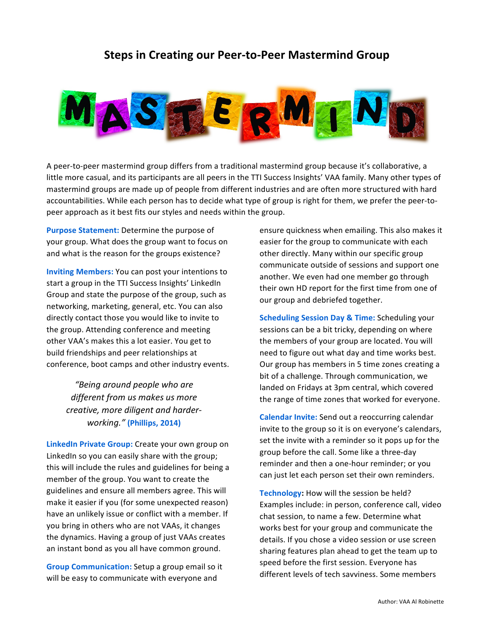## **Steps in Creating our Peer-to-Peer Mastermind Group**



A peer-to-peer mastermind group differs from a traditional mastermind group because it's collaborative, a little more casual, and its participants are all peers in the TTI Success Insights' VAA family. Many other types of mastermind groups are made up of people from different industries and are often more structured with hard accountabilities. While each person has to decide what type of group is right for them, we prefer the peer-topeer approach as it best fits our styles and needs within the group.

**Purpose Statement:** Determine the purpose of your group. What does the group want to focus on and what is the reason for the groups existence?

**Inviting Members:** You can post your intentions to start a group in the TTI Success Insights' LinkedIn Group and state the purpose of the group, such as networking, marketing, general, etc. You can also directly contact those you would like to invite to the group. Attending conference and meeting other VAA's makes this a lot easier. You get to build friendships and peer relationships at conference, boot camps and other industry events.

> *"Being around people who are*  different from us makes us more *creative, more diligent and harderworking."* **(Phillips, 2014)**

**LinkedIn Private Group:** Create your own group on LinkedIn so you can easily share with the group; this will include the rules and guidelines for being a member of the group. You want to create the guidelines and ensure all members agree. This will make it easier if you (for some unexpected reason) have an unlikely issue or conflict with a member. If you bring in others who are not VAAs, it changes the dynamics. Having a group of just VAAs creates an instant bond as you all have common ground.

**Group Communication:** Setup a group email so it will be easy to communicate with everyone and

ensure quickness when emailing. This also makes it easier for the group to communicate with each other directly. Many within our specific group communicate outside of sessions and support one another. We even had one member go through their own HD report for the first time from one of our group and debriefed together.

**Scheduling Session Day & Time: Scheduling your** sessions can be a bit tricky, depending on where the members of your group are located. You will need to figure out what day and time works best. Our group has members in 5 time zones creating a bit of a challenge. Through communication, we landed on Fridays at 3pm central, which covered the range of time zones that worked for everyone.

**Calendar Invite:** Send out a reoccurring calendar invite to the group so it is on everyone's calendars, set the invite with a reminder so it pops up for the group before the call. Some like a three-day reminder and then a one-hour reminder; or you can just let each person set their own reminders.

Technology: How will the session be held? Examples include: in person, conference call, video chat session, to name a few. Determine what works best for your group and communicate the details. If you chose a video session or use screen sharing features plan ahead to get the team up to speed before the first session. Everyone has different levels of tech savviness. Some members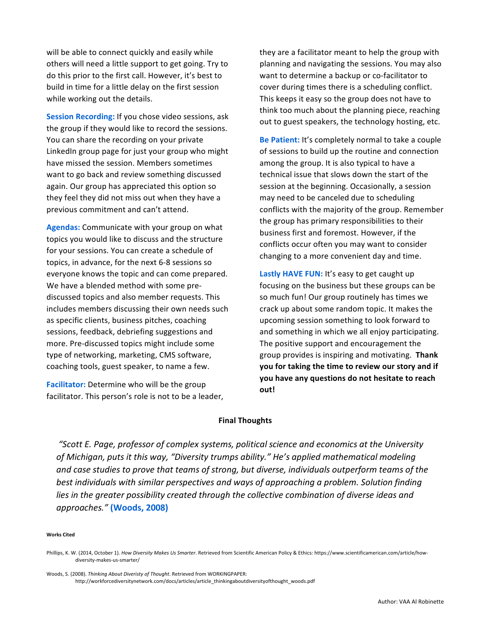will be able to connect quickly and easily while others will need a little support to get going. Try to do this prior to the first call. However, it's best to build in time for a little delay on the first session while working out the details.

**Session Recording:** If you chose video sessions, ask the group if they would like to record the sessions. You can share the recording on your private LinkedIn group page for just your group who might have missed the session. Members sometimes want to go back and review something discussed again. Our group has appreciated this option so they feel they did not miss out when they have a previous commitment and can't attend.

**Agendas:** Communicate with your group on what topics you would like to discuss and the structure for your sessions. You can create a schedule of topics, in advance, for the next 6-8 sessions so everyone knows the topic and can come prepared. We have a blended method with some prediscussed topics and also member requests. This includes members discussing their own needs such as specific clients, business pitches, coaching sessions, feedback, debriefing suggestions and more. Pre-discussed topics might include some type of networking, marketing, CMS software, coaching tools, guest speaker, to name a few.

**Facilitator:** Determine who will be the group facilitator. This person's role is not to be a leader, they are a facilitator meant to help the group with planning and navigating the sessions. You may also want to determine a backup or co-facilitator to cover during times there is a scheduling conflict. This keeps it easy so the group does not have to think too much about the planning piece, reaching out to guest speakers, the technology hosting, etc.

**Be Patient:** It's completely normal to take a couple of sessions to build up the routine and connection among the group. It is also typical to have a technical issue that slows down the start of the session at the beginning. Occasionally, a session may need to be canceled due to scheduling conflicts with the majority of the group. Remember the group has primary responsibilities to their business first and foremost. However, if the conflicts occur often you may want to consider changing to a more convenient day and time.

Lastly HAVE FUN: It's easy to get caught up focusing on the business but these groups can be so much fun! Our group routinely has times we crack up about some random topic. It makes the upcoming session something to look forward to and something in which we all enjoy participating. The positive support and encouragement the group provides is inspiring and motivating. **Thank** you for taking the time to review our story and if **you have any questions do not hesitate to reach out!**

### **Final Thoughts**

"Scott E. Page, professor of complex systems, political science and economics at the University of Michigan, puts it this way, "Diversity trumps ability." He's applied mathematical modeling and case studies to prove that teams of strong, but diverse, *individuals* outperform teams of the *best individuals with similar perspectives and ways of approaching a problem. Solution finding lies* in the greater possibility created through the collective combination of diverse ideas and *approaches."* **(Woods, 2008)**

#### **Works Cited**

Woods, S. (2008). Thinking About Diveristy of Thought. Retrieved from WORKINGPAPER: http://workforcediversitynetwork.com/docs/articles/article\_thinkingaboutdiversityofthought\_woods.pdf

Phillips, K. W. (2014, October 1). How Diversity Makes Us Smarter. Retrieved from Scientific American Policy & Ethics: https://www.scientificamerican.com/article/howdiversity-makes-us-smarter/